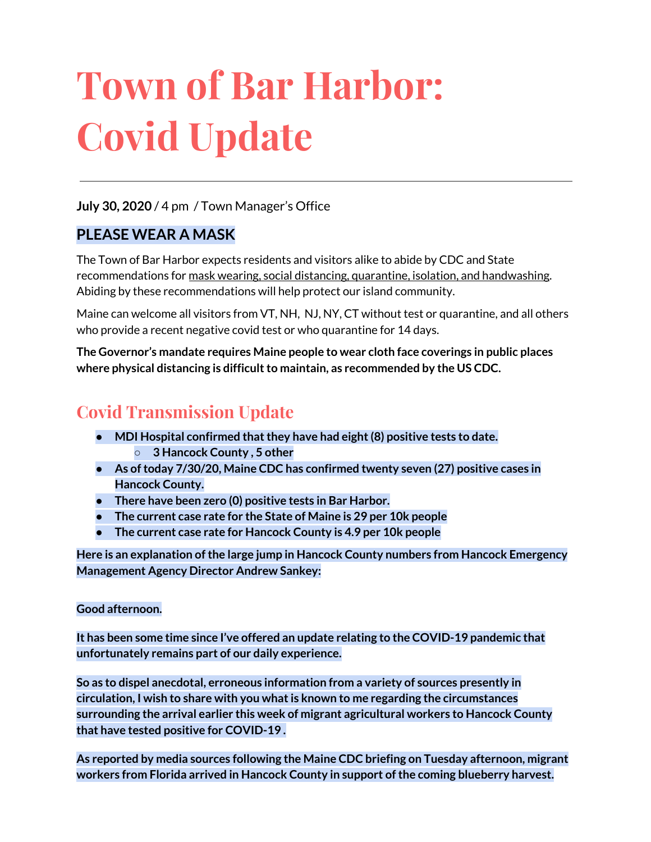# **Town of Bar Harbor: Covid Update**

#### **July 30, 2020** / 4 pm / Town Manager's Office

#### **PLEASE WEAR A MASK**

The Town of Bar Harbor expects residents and visitors alike to abide by CDC and State recommendations for mask wearing, social distancing, quarantine, isolation, and handwashing. Abiding by these recommendations will help protect our island community.

Maine can welcome all visitors from VT, NH, NJ, NY, CT without test or quarantine, and all others who provide a recent negative covid test or who quarantine for 14 days.

**The Governor's mandate requires Maine people to wear cloth face coverings in public places where physical distancing is difficultto maintain, as recommended by the US CDC.**

# **Covid Transmission Update**

- **● MDI Hospital confirmed thatthey have had eight(8) positive tests to date. ○ 3 Hancock County , 5 other**
- **● As oftoday 7/30/20, Maine CDC has confirmed twenty seven (27) positive cases in Hancock County.**
- **There have been zero (0) positive tests in Bar Harbor.**
- **● The current case rate for the State of Maine is 29 per 10k people**
- **● The current case rate for Hancock County is 4.9 per 10k people**

**Here is an explanation ofthe large jump in Hancock County numbers from Hancock Emergency Management Agency Director Andrew Sankey:**

#### **Good afternoon.**

**It has been some time since I've offered an update relating to the COVID-19 pandemic that unfortunately remains part of our daily experience.**

**So as to dispel anecdotal, erroneous information from a variety of sources presently in circulation, I wish to share with you whatis known to me regarding the circumstances surrounding the arrival earlier this week of migrant agricultural workers to Hancock County that have tested positive for COVID-19 .**

**As reported by media sources following the Maine CDC briefing on Tuesday afternoon, migrant workers from Florida arrived in Hancock County in support ofthe coming blueberry harvest.**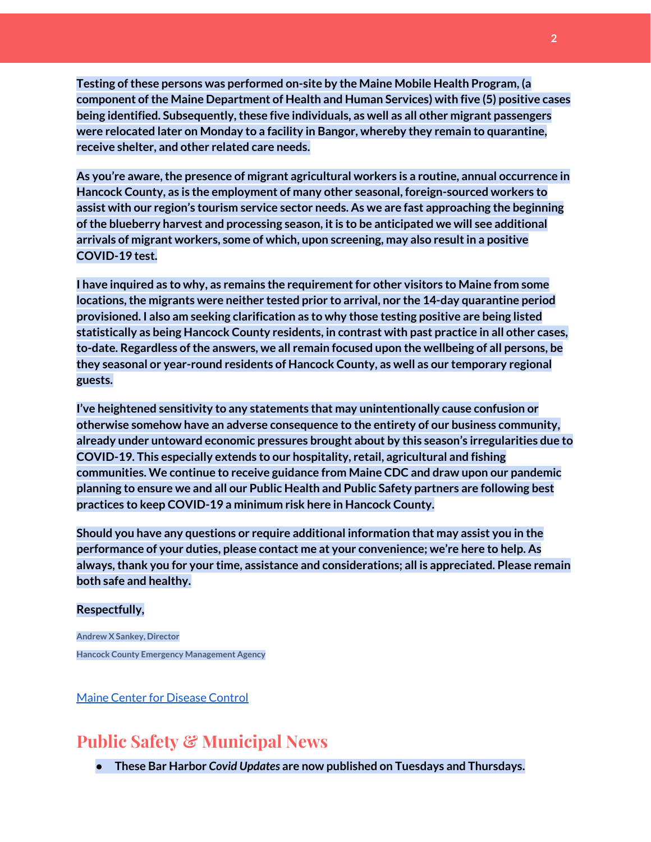**Testing ofthese persons was performed on-site by the Maine Mobile Health Program, (a component ofthe Maine Department of Health and Human Services) with five (5) positive cases being identified. Subsequently,these five individuals, as well as all other migrant passengers were relocated later on Monday to a facility in Bangor, whereby they remain to quarantine, receive shelter, and other related care needs.**

**As you're aware,the presence of migrant agricultural workers is a routine, annual occurrence in Hancock County, as is the employment of many other seasonal, foreign-sourced workers to assist with our region's tourism service sector needs. As we are fast approaching the beginning ofthe blueberry harvest and processing season, itis to be anticipated we will see additional arrivals of migrant workers, some of which, upon screening, may also resultin a positive COVID-19 test.**

**I have inquired as to why, as remains the requirementfor other visitors to Maine from some locations,the migrants were neither tested prior to arrival, nor the 14-day quarantine period provisioned. I also am seeking clarification as to why those testing positive are being listed statistically as being Hancock County residents, in contrast with past practice in all other cases, to-date. Regardless ofthe answers, we all remain focused upon the wellbeing of all persons, be they seasonal or year-round residents of Hancock County, as well as our temporary regional guests.**

**I've heightened sensitivity to any statements that may unintentionally cause confusion or otherwise somehow have an adverse consequence to the entirety of our business community, already under untoward economic pressures brought about by this season's irregularities due to COVID-19. This especially extends to our hospitality, retail, agricultural and fishing communities. We continue to receive guidance from Maine CDC and draw upon our pandemic planning to ensure we and all our Public Health and Public Safety partners are following best practices to keep COVID-19 a minimum risk here in Hancock County.**

**Should you have any questions or require additional information that may assist you in the performance of your duties, please contact me at your convenience; we're here to help. As always,thank you for your time, assistance and considerations; all is appreciated. Please remain both safe and healthy.**

#### **Respectfully,**

**Andrew X Sankey, Director Hancock County Emergency Management Agency**

Maine Center for [Disease](https://www.maine.gov/dhhs/mecdc/infectious-disease/epi/airborne/coronavirus.shtml) Control

## **Public Safety & Municipal News**

**● These Bar Harbor** *Covid Updates* **are now published on Tuesdays and Thursdays.**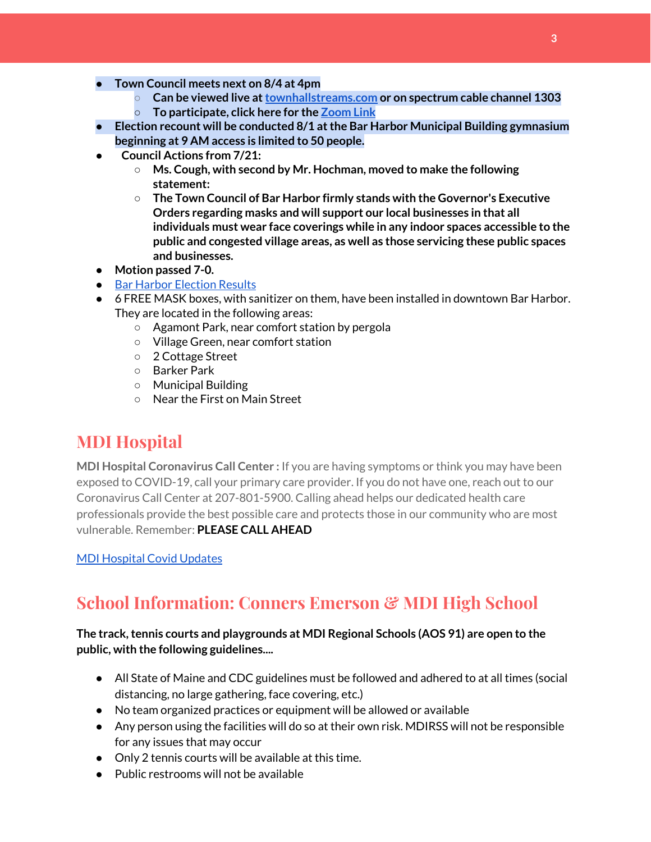- **● Town Council meets next on 8/4 at 4pm**
	- **○ Can be viewed live at[townhallstreams.com](https://townhallstreams.com/) or on spectrum cable channel 1303**
	- **○ To participate, click here for the [Zoom](http://www.barharbormaine.gov/Calendar.aspx?EID=2832&month=8&year=2020&day=30&calType=0) Link**
- **● Election recount will be conducted 8/1 atthe Bar Harbor Municipal Building gymnasium beginning at 9 AM access is limited to 50 people.**
- **● Council Actions from 7/21:**
	- **○ Ms. Cough, with second by Mr. Hochman, moved to make the following statement:**
	- **○ The Town Council of Bar Harbor firmly stands with the Governor's Executive Orders regarding masks and will support our local businesses in that all individuals must wear face coverings while in any indoor spaces accessible to the public and congested village areas, as well as those servicing these public spaces and businesses.**
- **Motion passed 7-0.**
- Bar Harbor [Election](http://www.barharbormaine.gov/CivicAlerts.aspx?AID=703) Results
- 6 FREE MASK boxes, with sanitizer on them, have been installed in downtown Bar Harbor. They are located in the following areas:
	- Agamont Park, near comfort station by pergola
	- Village Green, near comfort station
	- 2 Cottage Street
	- Barker Park
	- Municipal Building
	- Near the First on Main Street

# **MDI Hospital**

**MDI Hospital Coronavirus Call Center :** If you are having symptoms or think you may have been exposed to COVID-19, call your primary care provider. If you do not have one, reach out to our Coronavirus Call Center at 207-801-5900. Calling ahead helps our dedicated health care professionals provide the best possible care and protects those in our community who are most vulnerable. Remember: **PLEASE CALL AHEAD**

MDI [Hospital](https://www.mdihospital.org/covid-19/?fbclid=IwAR2Q31t4a6H1pxDfUeqSzFcmp5UbRlSwe93i58zEkHstfexp5EgoHB5cxGU) Covid Updates

# **School Information: Conners Emerson & MDI High School**

#### **The track,tennis courts and playgrounds at MDI Regional Schools (AOS 91) are open to the public, with the following guidelines....**

- All State of Maine and CDC guidelines must be followed and adhered to at all times (social distancing, no large gathering, face covering, etc.)
- No team organized practices or equipment will be allowed or available
- Any person using the facilities will do so at their own risk. MDIRSS will not be responsible for any issues that may occur
- Only 2 tennis courts will be available at this time.
- $\bullet$  Public restrooms will not be available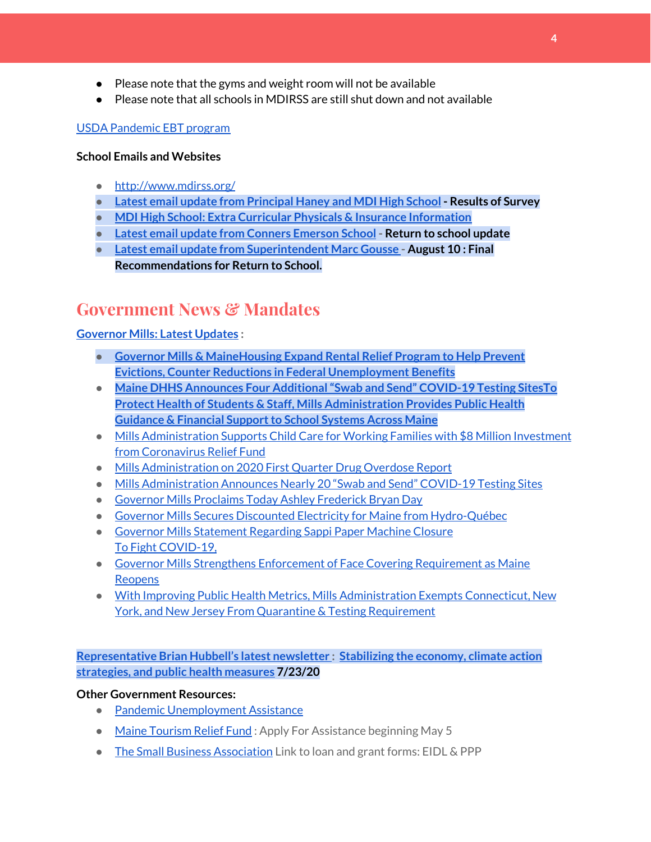- Please note that the gyms and weight room will not be available
- Please note that all schools in MDIRSS are still shut down and not available

#### USDA [Pandemic](http://track.spe.schoolmessenger.com/f/a/j6GQx4nFl3Rld4Q68tYCuA~~/AAAAAQA~/RgRgu5_JP0SlaHR0cHM6Ly9tYWlsLmdvb2dsZS5jb20vbWFpbC91LzAvP3RhYj1jbSNzZWFyY2gvZnJvbSUzQStiZWVzbGV5L1doY3RLSlZyQ0NUS1JmUldCTFdkUVpGZ2pUVlhNdkRwUVpIa2NoRkJCc3NGcHJxZEtnWFF3S05Tamt3R1RxTFpaS21wTkRHP3Byb2plY3Rvcj0xJm1lc3NhZ2VQYXJ0SWQ9MC4xVwdzY2hvb2xtQgoARkls2l72Ls-jUhhiYXJoYXJib3JqZXdlbEBnbWFpbC5jb21YBAAAAAE~) EBT program

#### **School Emails and Websites**

- <http://www.mdirss.org/>
- **● Latest email update from [Principal](https://docs.google.com/document/d/1OKDsYNtOgV0FI9xAcXwQvenOKLV0S2vBg1o5jtu5CrE/edit?usp=sharing) Haney and MDI High School - Results of Survey**
- **● MDI High School: Extra Curricular Physicals & Insurance [Information](https://wdea.am/mdihs-extracurricular-activity-physicals-and-insurance-information/?trackback=fbshare_mobile&fbclid=IwAR0wxPd824oG1ATLwkeI9s9n2sdpvEiyxeJGgB_mh2BlEJNT_AXiMynkobs)**
- **● Latest email update from Conners [Emerson](https://docs.google.com/document/d/1v3pgkG6Q-9S3gisuUIj4etPVDwgBKl4P00JBkvZr-kk/edit?usp=sharing) School - Return to school update**
- **● Latest email update from [Superintendent](https://docs.google.com/document/d/1fzeCbc8gpTSKmUaDoQH1Avx5PVl-h0reFphXrT1eUNA/edit?usp=sharing) Marc Gousse - August 10 : Final Recommendations for Return to School.**

# **Government News & Mandates**

#### **[Governor](https://www.maine.gov/governor/mills/) Mills: Latest Updates :**

- **● Governor Mills & [MaineHousing](https://www.maine.gov/governor/mills/news/governor-mills-mainehousing-expand-rental-relief-program-help-prevent-evictions-counter) Expand Rental Relief Program to Help Prevent Evictions, Counter Reductions in Federal [Unemployment](https://www.maine.gov/governor/mills/news/governor-mills-mainehousing-expand-rental-relief-program-help-prevent-evictions-counter) Benefits**
- **Maine DHHS Announces Four [Additional"Swab](https://www.maine.gov/governor/mills/news/maine-dhhs-announces-four-additional-swab-and-send-covid-19-testing-sites-2020-07-21) and Send" COVID-19 Testing Sites[To](https://www.maine.gov/governor/mills/news/protect-health-students-staff-mills-administration-provides-public-health-guidance-financial) Protect Health of Students & Staff, Mills [Administration](https://www.maine.gov/governor/mills/news/protect-health-students-staff-mills-administration-provides-public-health-guidance-financial) Provides Public Health Guidance & Financial Support to School Systems Across Maine**
- Mills [Administration](https://www.maine.gov/governor/mills/news/mills-administration-supports-child-care-working-families-8-million-investment-coronavirus) Supports Child Care for Working Families with \$8 Million Investment from [Coronavirus](https://www.maine.gov/governor/mills/news/mills-administration-supports-child-care-working-families-8-million-investment-coronavirus) Relief Fund
- Mills [Administration](https://www.maine.gov/governor/mills/news/mills-administration-2020-first-quarter-drug-overdose-report-2020-07-17) on 2020 First Quarter Drug Overdose Report
- Mills [Administration](https://www.maine.gov/governor/mills/news/mills-administration-announces-nearly-20-swab-and-send-covid-19-testing-sites-2020-07-14) Announces Nearly 20 "Swab and Send" COVID-19 Testing Sites
- Governor Mills [Proclaims](https://www.maine.gov/governor/mills/news/governor-mills-proclaims-today-ashley-frederick-bryan-day-2020-07-13) Today Ashley Frederick Bryan Day
- Governor Mills Secures Discounted Electricity for Maine from [Hydro-Québec](https://www.maine.gov/governor/mills/news/governor-mills-secures-discounted-electricity-maine-hydro-quebec-2020-07-10)
- Governor Mills [Statement](https://www.maine.gov/governor/mills/news/governor-mills-statement-regarding-sappi-paper-machine-closure-2020-07-09) Regarding Sappi Paper Machine Closure To Fight [COVID-19,](https://www.maine.gov/governor/mills/news/fight-covid-19-governor-mills-strengthens-enforcement-face-covering-requirement-maine-reopens)
- Governor Mills Strengthens Enforcement of Face Covering [Requirement](https://www.maine.gov/governor/mills/news/fight-covid-19-governor-mills-strengthens-enforcement-face-covering-requirement-maine-reopens) as Maine [Reopens](https://www.maine.gov/governor/mills/news/fight-covid-19-governor-mills-strengthens-enforcement-face-covering-requirement-maine-reopens)
- With Improving Public Health Metrics, Mills [Administration](https://www.maine.gov/governor/mills/news/improving-public-health-metrics-mills-administration-exempts-connecticut-new-york-and-new) Exempts Connecticut, New York, and New Jersey From Quarantine & Testing [Requirement](https://www.maine.gov/governor/mills/news/improving-public-health-metrics-mills-administration-exempts-connecticut-new-york-and-new)

**[Representative](http://www.rephubbell.com/) Brian Hubbell's latest newsletter : [Stabilizing](http://www.rephubbell.com/2020/07/23/stabilizing-the-economy-climate-action-strategies-and-public-health-measures/) the economy, climate action [strategies,](http://www.rephubbell.com/2020/07/23/stabilizing-the-economy-climate-action-strategies-and-public-health-measures/) and public health measures 7/23/20**

#### **Other Government Resources:**

- Pandemic [Unemployment](https://www.maine.gov/unemployment/pua/) Assistance
- Maine [Tourism](https://www.mainetourism.com/maine-tourism-relief-fund/) Relief Fund: Apply For Assistance beginning May 5
- The Small Business [Association](https://www.sba.gov/) Link to loan and grant forms: EIDL & PPP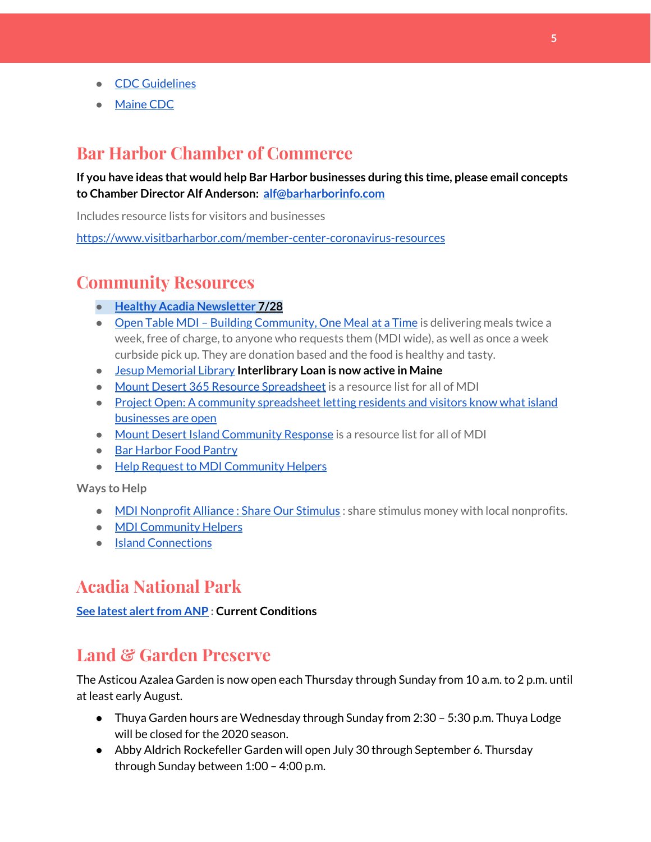- CDC [Guidelines](https://www.cdc.gov/coronavirus/2019-nCoV/index.html)
- [Maine](https://www.maine.gov/dhhs/mecdc/infectious-disease/epi/airborne/coronavirus.shtml#news) CDC

## **Bar Harbor Chamber of Commerce**

#### **If you have ideas that would help Bar Harbor businesses during this time, please email concepts to Chamber Director Alf Anderson: [alf@barharborinfo.com](mailto:alf@barharborinfo.com)**

Includes resource lists for visitors and businesses

<https://www.visitbarharbor.com/member-center-coronavirus-resources>

## **Community Resources**

- **● Healthy Acadia [Newsletter](https://mailchi.mp/healthyacadia.org/july_28_2020) [7](https://mailchi.mp/healthyacadia.org/july_28_2020)/28**
- Open Table MDI Building [Community,](https://www.opentablemdi.org/) One Meal at a Time is delivering meals twice a week, free of charge, to anyone who requests them (MDI wide), as well as once a week curbside pick up. They are donation based and the food is healthy and tasty.
- Jesup [Memorial](https://jesuplibrary.org/) Library **Interlibrary Loan is now active in Maine**
- Mount Desert 365 Resource [Spreadsheet](https://docs.google.com/spreadsheets/d/1okAx6HSsgXZY9CGH07Dzi6rqe7a6m4dLCPKot2Li7Ek/edit?usp=sharing) is a resource list for all of MDI
- Project Open: A community [spreadsheet](https://docs.google.com/spreadsheets/d/1dBicBiBXGzzWEFd9oqL7EBDbFWjDCPl6SSMea_Kt4pc/htmlview#) letting residents and visitors know what island [businesses](https://docs.google.com/spreadsheets/d/1dBicBiBXGzzWEFd9oqL7EBDbFWjDCPl6SSMea_Kt4pc/htmlview#) are open
- Mount Desert Island [Community](https://www.mdicr.org/) Response is a resource list for all of MDI
- Bar [Harbor](https://www.barharborfoodpantry.org/) Food Pantry
- Help Request to MDI [Community](https://docs.google.com/forms/d/e/1FAIpQLSeZfu0tCcthHc9oL7tPomVRdniYiE7nbT_kkK9iCSRgqDhOvQ/viewform) Helpers

#### **Ways to Help**

- MDI [Nonprofit](https://sites.google.com/mdina.org/public/sos-mdi?authuser=0) Alliance : Share Our Stimulus : share stimulus money with local nonprofits.
- MDI [Community](https://docs.google.com/forms/d/e/1FAIpQLSe_CJUFdVvwJkmymWRqUeK8bx3m7n4uSOuUPYHqXSAyH2DBoQ/viewform?fbclid=IwAR25hjnWGhnMP0lOWMcBPRBumhtQCJGZO4hlk-T-VjNGZljL1kVX5pWrL6U) Helpers
- Island [Connections](http://islconnections.org/contact-us/)

## **Acadia National Park**

#### **See latest [alertfrom](https://www.nps.gov/acad/planyourvisit/conditions.htm) ANP : Current Conditions**

## **Land & Garden Preserve**

The Asticou Azalea Garden is now open each Thursday through Sunday from 10 a.m. to 2 p.m. until at least early August.

- Thuya Garden hours are Wednesday through Sunday from 2:30 5:30 p.m. Thuya Lodge will be closed for the 2020 season.
- Abby Aldrich Rockefeller Garden will open July 30 through September 6. Thursday through Sunday between 1:00 – 4:00 p.m.